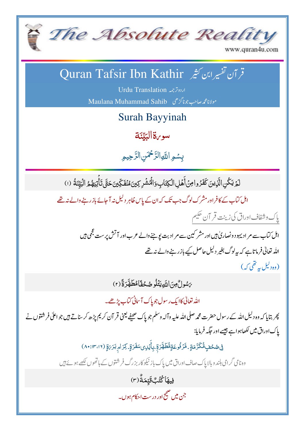

www.quran4u.com

## قر آن تفسیر ابن کثیر Quran Tafsir Ibn Kathir

Urdu Translation 
Maulana Muhammad Sahib

Surah Bayyinah

سو <sub>v</sub>ة الب<sub>ل</sub>يّن<del>ة</del> <u>تي</u> بہ<br>پ الب

بِسْمِ اللَّهِ الرَّحْمَنِ الرَّحِيمِ ر<br>ر رّ<br>( J<br>J اُمَّةٌ

لَمَّ يَكُنِ الَّذِينَ كَفَرُوا مِنۡ أَهۡلِ الۡكِتَابِۥوَالۡهُشۡرِ كِينَ مُنۡفَكِّينَ حَتَّى تَأۡتِيَهُمُّ الۡبَيِّنَةُ (١) ِن ڵ<br>؞ ْب **ٔ** ت م<br>أنا ن<br>فما **ُ** رَ<br>ا <u>ّ</u> ة<br>م ْ <sup>ر</sup>َ ٱ ر<br>م اہل کتاب کے کافر اور مشرک لوگ جب تک کہ ان کے پاس ظاہر دلیل نہ آ جائے باز رہنے والے نہ تھے بإك وشفاف اوراق كى زينت قر آن حكيم<br>. اہل کتاب سے مر ادیہود و نصار کیٰ ہیں اور مشر کین سے مر ادبت یو جنے والے عرب اور آتش پر ست عجمی ہیں ۔ اللہ تعالیٰ فرماتاہے کہ بیہ لوگ بغیر دلیل حاصل کیے بازر بنے والے نہ تھے (وہ دلیل یہ تقی کہ) ىَسُولٌ مِنَ اللَّهِ يَتُلُو صُحُفًا مُطَهَّرَةً (٢) ُ<br>ا ُ **ُ** ْ J ĺ  $\tilde{\mathcal{E}}$ الله تعالى كاايك رسول جوياك آسانى *كتاب پڑھے۔* پھر بتایا کہ وہ دلیل اللہ کے رسول حضرت محم*د ص*لی اللہ علیہ وآلہ و سلم جو پاک صحیفے یعنی قر آن کر <sup>م</sup>ی پڑھ کر سناتے ہیں جو اعلیٰ فر شتوں نے یاک اوراق میں لکھاہو اہے جیسے اور حکیہ فرمایا: فِ $\zeta$ مُحْفٍ مُّكَرَّمَةٍ ـ مَّزَفُوعَةٍمُّطَهَّرَةٍ ـبِأَيۡرِى سَفَرَةٍ ـ كِرَامٍ بَرَ يَوِّ (١٢، ١٣،١٢) .<br>. <u>ر</u> ٱ ُ **ُ**  $\tilde{\mathcal{L}}$ م زَ م ۡ ب وہ نامی گرامی بلند و بالا پاک صاف اوراق میں پاک باز نیکو کار بزرگ فر شنوں کے ہاتھوں لکھے ہوئے ہیں فِيهَا<sup></sup>كُتُبٌقَّتِهَةٌ (٣)<br>\* Ĭ َي جن میں صحیح اور درست احکام ہوں۔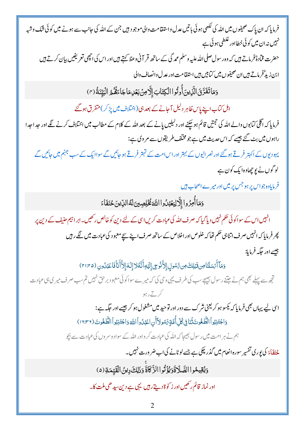فرمایا کہ ان پاک صحیفوں میں اللہ کی لکھی ہو ئی باتیں عدل واستفامت والی موجو د ہیں جن کے اللہ کی جانب سے ہونے میں کوئی شک وشبہ نہیں نہ ان میں کوئی خطااور غلطی ہو ئی ہے حضرت قمادۃً فرماتے ہیں کہ وہ رسول صلی اللہ علیہ وسلم عمد گی کے ساتھ قر آنی وعظ کہتے ہیں اور اس کی اچھی تعریفیں بیان کرتے ہیں ابن زيدٌ فرماتے ہيں ان صحيفوں ميں کتابيں ہيں استفامت اور عدل وانصاف والي وَمَاتَفَرَّقَ الَّذِينَ أُوتُوا الْكِتَابَ إِلَّامِنَ بَعْدِمَاجَاءَقُمُّ الْبَيِّنَةُ (٣) اہل کتاب اپنے پاس ظاہر دلیل آجانے کے بعد ہی(اختلاف میں پڑ کر) متفرق ہوگئے فرمایا کہ اگلی کتابوں والے اللہ کی حجتیں قائم ہو چکنے اور دلیلیں پانے کے بعد اللہ کے کلام کے مطالب میں اختلاف کرنے لگے اور حداحدا راہوں میں بٹ گئے جیسے کہ اس حدیث میں ہے جو مخلف طریقوں سے مر وی ہے: یہودیوں کے اکہتر فرتے ہوگئے اور نصر انیوں کے بہتر اور اس امت کے تہتر فرتے ہو جائیں گے سواا یک کے سب جہنم میں جائیں گے لو گوں نے یو چھادہ ایک کون ہے فرمایاوہ جواس پر ہو جس پر میں اور میر ے اصحاب ہیں وَمَاأُمِرُوا إِلَّالِيَعْبُدُوا اللَّهَ كُخْلِصِينَ لَهُ الدِّينَ حُنَفَاءَ انہیں اس کے سواکوئی تھم نہیں دیا گیا کہ صرف اللہ کی عبادت کریں اسی کے لئے دین کو خالص رکھیں۔ابراہیم حنیف کے دین پر پھر فرمایا کہ انہیں صرف اتناہی حکم تھا کہ خلوص اور اخلاص کے ساتھ صرف اپنے سیچے معبود کی عبادت میں لگے رہیں جیسے اور جگہ فرمایا: دَمَآ أَبْسَلْنَامِن قَبْلِكَمِن رَّسُولِ إِلاَّذُرِي إِلَيْهِ أَنَّهُلا إِلَهَ إِلاَّ أَنَأْ فَاعْبُدُونِ (٢١:٢۵) تجھ سے پہلے بھی ہم نے جتنے رسول بھیجے سب کی طرف یہی و حی کی کہ میرے سواکوئی معبود برحق نہیں تم سب صرف میر ی ہیءادت اسی لیے یہاں بھی فرمایا کہ یکسو ہو کر یعنی شر ک سے دور اور توحید میں مشغول ہو کر جیسے اور حکیہ ہے: دَاجْتَنِبُواْ الطَّغُوتَ ثَنَانِي كُلِّ أُمَّةٍ تَّسُولاً أَن اعْبُدُواْ اللَّهَ وَاجْتَنِبُواْ الطَّغُوتَ (١٦:٣١) ہم نے ہر امت میں رسول بھیجا کہ اللہ کی عبادت کر واور اللہ کے سوادوسر وں کی عبادت سے بیچو لحنَفَاءَ کی *یو*ری تفسیر سورہ انعام میں گذر چکی ہے جسے لوٹانے کی اب ضر ورت نہیں۔ وَيُقِيمُوا الصَّلَاةَوَيُؤَتُوا الزَّكَاةَ وَذَلِكَ دِينُ الْقَيِّمَةِ (٥) اور نماز قائم رکھیں اور ز کو ۃ دیتے رہیں یہی ہے دین سیدھی ملت کا۔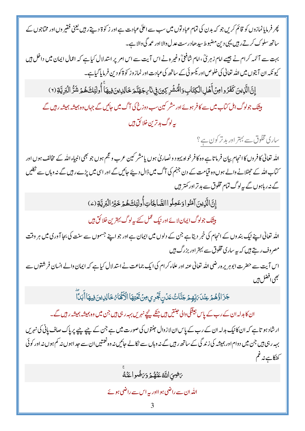پھر فرمایا نمازوں کو قائم کریں جو کہ بدن کی تمام عباد توں میں سب سے اعلٰی عبادت ہے اور ز کوۃ دیتے رہیں یعنی فقیر وں اور مختاجوں کے ساتھ سلوک کرتے رہیں یہی دین مضبوط سیدھادرست عدل والا اور عمد گی والا ہے۔ بہت سے آئمہ کرام نے جیسے امام زہر رُیَّ، امام شافعیؒ وغیر ہ نے اس آیت سے اس امر پر استدلال کیاہے کہ اعمال ایمان میں داخل ہیں کیو نکہ ان آیتوں میں اللہ تعالیٰ کی خلوص اور کیسوئی کے ساتھ کی عبادت اور نماز وز کوٰۃ کو دین فرمایا گیاہے۔ إِنَّ الَّذِينَ كَفَرُوامِنۡ أَهۡلِ الۡكِتَابِ وَالۡمُشۡرِكِينَ فِي نَارِ جَهَنَّحَ خَالِدِينَ فِيهَاۚ أُولَئِكَ هُمۡ شَرُّ الۡبَرِيَّةِ (٢) ہیشک جولوگ اہل کماپ میں سے کافر ہوئے اور مشر کین سب دوزخ کی آگ میں جائیں گے جہاں وہ ہمیشہ ہمیشہ رہیں گے بەلوگ بدىزىن خلائق ہيں ساری مخلوق سے بہتر اور بد تر کون ہے؟ الله تعالیٰ کافروں کا انجام بیان فرماتا ہے وہ کافر خواہ یہود و نصاریٰ ہوں یامشر کین عرب وحجم ہوں جو بھی انبیاءالله کے مخالف ہوں اور کتاب اللہ کے حجھٹلانے والے ہوں وہ قیامت کے دن جہنم کی آگ میں ڈال دیئے جائیں گے اور اسی میں پڑے ر ہیں گے نہ وہاں سے نکلیں گے نہ ر ہاہوں گے بیرلوگ تمام مخلوق سے بد تر اور کمتر ہیں إِنَّ الَّذِينَ آمَنُو ادَعَمِلُوا الصَّالِحَاتِ أُولِئِكَ هُمْ خَيْرُ الْبَرِيَّةِ (2) ہیشک جولوگ ایمان لائے اور نیک عمل کئے یہ لوگ بہترین خلا **ئق ہ**یں اللہ تعالٰی اپنے نیک بندوں کے انجام کی خبر دیتاہے جن کے دلوں میں ایمان ہے اور جو اپنے جسموں سے سنت کی بجا آوری میں ہر وقت مصروف رہتے ہیں کہ بہ ساری مخلوق سے بہتر اور بزرگ ہیں اس آیت سے حضرت ابوہریرہ رضی اللہ تعالیٰ عنہ اور علماء کرام کی ایک جماعت نے استدلال کیاہے کہ ایمان والے انسان فر شتوں سے نجفى افضل ہيں جَزَاؤُهُمْ عِنْدَىَ بِّهِمْ جَنَّاتُ عَدُنٍ تَجْرِي مِنْ تَخَتِهَا الْأَهَّاءُ خَالِدِينَ فِيهَا أَبَدَّا ان کابدلہ ان کے رب کے پاس ہیشگی والی جنتیں ہیں جنکے پیچے نہریں بہہ رہی ہیں جن میں وہ ہمیشہ بمیشہ ر ہیں گے۔ ارشاد ہو تاہے کہ ان کانیک بدلہ ان کے رب کے پاس ان لازوال جنتوں کی صورت میں ہے جن کے پیے پیے پر پاک صاف پانی کی نہریں بہہ رہی ہیں جن میں دوام اور ہمیشہ کی زند گی کے ساتھ رہیں گے نہ وہاں سے نکالے جائیں نہ وہ نعتیں ان سے حد اہوں نہ کہ ہوں نہ اور کوئی كظكات نه عم يَضِيَ اللَّهُ عَنْهُمْ دَيَنَضُوا عَنْهُ الڈران سے راضی ہو ااور پہ اس سے راضی ہوئے